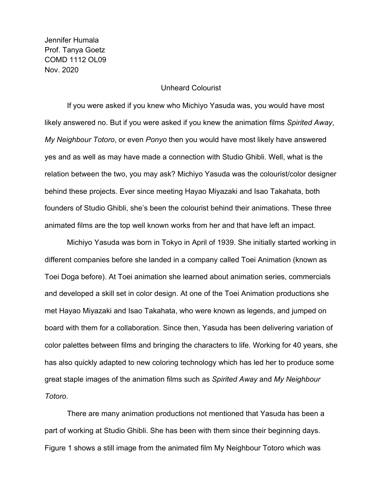Jennifer Humala Prof. Tanya Goetz COMD 1112 OL09 Nov. 2020

## Unheard Colourist

If you were asked if you knew who Michiyo Yasuda was, you would have most likely answered no. But if you were asked if you knew the animation films *Spirited Away*, *My Neighbour Totoro*, or even *Ponyo* then you would have most likely have answered yes and as well as may have made a connection with Studio Ghibli. Well, what is the relation between the two, you may ask? Michiyo Yasuda was the colourist/color designer behind these projects. Ever since meeting Hayao Miyazaki and Isao Takahata, both founders of Studio Ghibli, she's been the colourist behind their animations. These three animated films are the top well known works from her and that have left an impact.

Michiyo Yasuda was born in Tokyo in April of 1939. She initially started working in different companies before she landed in a company called Toei Animation (known as Toei Doga before). At Toei animation she learned about animation series, commercials and developed a skill set in color design. At one of the Toei Animation productions she met Hayao Miyazaki and Isao Takahata, who were known as legends, and jumped on board with them for a collaboration. Since then, Yasuda has been delivering variation of color palettes between films and bringing the characters to life. Working for 40 years, she has also quickly adapted to new coloring technology which has led her to produce some great staple images of the animation films such as *Spirited Away* and *My Neighbour Totoro*.

There are many animation productions not mentioned that Yasuda has been a part of working at Studio Ghibli. She has been with them since their beginning days. Figure 1 shows a still image from the animated film My Neighbour Totoro which was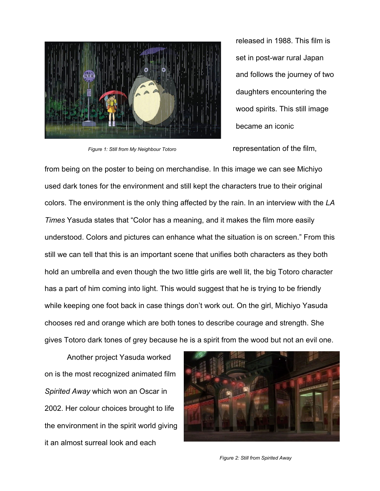

released in 1988. This film is set in post-war rural Japan and follows the journey of two daughters encountering the wood spirits. This still image became an iconic

*Figure 1: Still from My Neighbour Totoro* representation of the film,

from being on the poster to being on merchandise. In this image we can see Michiyo used dark tones for the environment and still kept the characters true to their original colors. The environment is the only thing affected by the rain. In an interview with the *LA Times* Yasuda states that "Color has a meaning, and it makes the film more easily understood. Colors and pictures can enhance what the situation is on screen." From this still we can tell that this is an important scene that unifies both characters as they both hold an umbrella and even though the two little girls are well lit, the big Totoro character has a part of him coming into light. This would suggest that he is trying to be friendly while keeping one foot back in case things don't work out. On the girl, Michiyo Yasuda chooses red and orange which are both tones to describe courage and strength. She gives Totoro dark tones of grey because he is a spirit from the wood but not an evil one.

Another project Yasuda worked on is the most recognized animated film *Spirited Away* which won an Oscar in 2002. Her colour choices brought to life the environment in the spirit world giving it an almost surreal look and each



*Figure 2: Still from Spirited Away*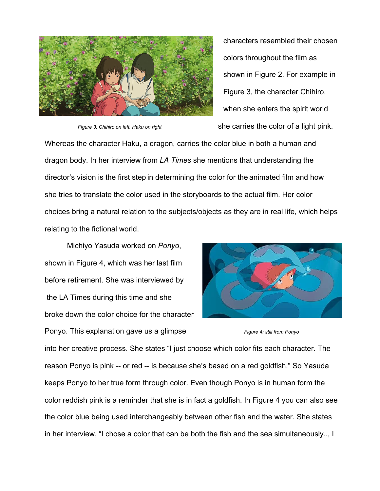

characters resembled their chosen colors throughout the film as shown in Figure 2. For example in Figure 3, the character Chihiro, when she enters the spirit world *Figure 3: Chihiro on left, Haku on right* she carries the color of a light pink.

Whereas the character Haku, a dragon, carries the color blue in both a human and dragon body. In her interview from *LA Times* she mentions that understanding the director's vision is the first step in determining the color for the animated film and how she tries to translate the color used in the storyboards to the actual film. Her color choices bring a natural relation to the subjects/objects as they are in real life, which helps relating to the fictional world.

Michiyo Yasuda worked on *Ponyo*, shown in Figure 4, which was her last film before retirement. She was interviewed by the LA Times during this time and she broke down the color choice for the character Ponyo. This explanation gave us a glimpse *Figure 4: still from Ponyo*



into her creative process. She states "I just choose which color fits each character. The reason Ponyo is pink -- or red -- is because she's based on a red goldfish." So Yasuda keeps Ponyo to her true form through color. Even though Ponyo is in human form the color reddish pink is a reminder that she is in fact a goldfish. In Figure 4 you can also see the color blue being used interchangeably between other fish and the water. She states in her interview, "I chose a color that can be both the fish and the sea simultaneously.., I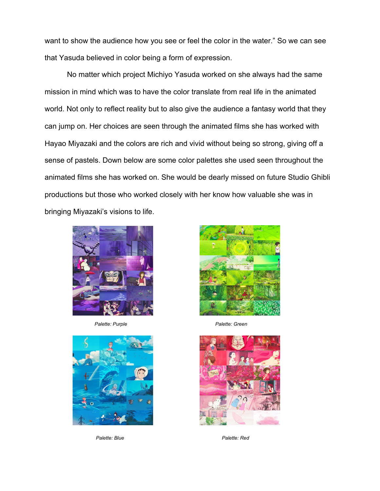want to show the audience how you see or feel the color in the water." So we can see that Yasuda believed in color being a form of expression.

No matter which project Michiyo Yasuda worked on she always had the same mission in mind which was to have the color translate from real life in the animated world. Not only to reflect reality but to also give the audience a fantasy world that they can jump on. Her choices are seen through the animated films she has worked with Hayao Miyazaki and the colors are rich and vivid without being so strong, giving off a sense of pastels. Down below are some color palettes she used seen throughout the animated films she has worked on. She would be dearly missed on future Studio Ghibli productions but those who worked closely with her know how valuable she was in bringing Miyazaki's visions to life.



*Palette: Purple Palette: Green*



*Palette: Blue Palette: Red*